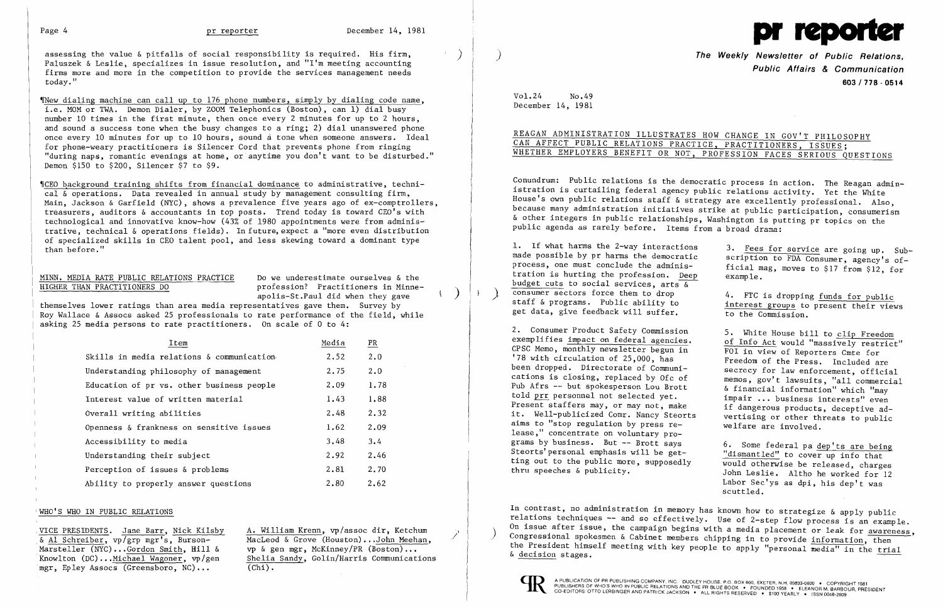

assessing the value  $\delta$  pitfalls of social responsibility is required. His firm, Paluszek & Leslie, specializes in issue resolution, and "I'm meeting accounting firms more and more in the competition to provide the services management needs today."

~[New dialing machine can call up to 176 phone numbers, simply by dialing code name, i.e. MOM or TWA. Demon Dialer, by ZOOM Telephonics (Boston), can 1) dial busy number 10 times in the first minute, then once every 2 minutes for up to 2 hours, and sound a success tone when the busy changes to a ring; 2) dial unanswered phone once every 10 minutes for up to 10 hours, sound a tone when someone answers. Ideal for phone-weary practitioners is Silencer Cord that prevents phone from ringing "during naps, romantic evenings at home, or anytime you don't want to be disturbed." Demon \$150 to \$200, Silencer \$7 to \$9.

~ICEO background training shifts from financial dominance to administrative, techni cal & operations. Data revealed in annual study by management consulting firm, Main, Jackson & Garfield (NYC), shows a prevalence five years ago of ex-comptrollers, treasurers, auditors & accountants in top posts. Trend today is toward CEO's with technological and innovative know-how (43% of 1980 appointments were from adminis trative, technical & operations fields). In future, expect a "more even distribution of specialized skills in CEO talent pool, and less skewing toward a dominant type than before."

### MINN. MEDIA RATE PUBLIC RELATIONS PRACTICE HIGHER THAN PRACTITIONERS DO

Do we underestimate ourselves  $\&$  the profession? Practitioners in Minneapolis-St.Paul did when they gave

)

themselves lower ratings than area media representatives gave them. Survey by Roy Wallace & Assocs asked 25 professionals to rate performance of the field, while asking 25 media persons to rate practitioners. On scale of 0 to 4:

| Item                                      | Media | PR   |
|-------------------------------------------|-------|------|
| Skills in media relations & communication | 2.52  | 2,0  |
| Understanding philosophy of management    | 2.75  | 2.0  |
| Education of pr vs. other business people | 2.09  | 1.78 |
| Interest value of written material        | 1.43  | 1.88 |
| Overall writing abilities                 | 2.48  | 2.32 |
| Openness & frankness on sensitive issues  | 1.62  | 2.09 |
| Accessibility to media                    | 3.48  | 3.4  |
| Understanding their subject               | 2.92  | 2.46 |
| Perception of issues & problems           | 2.81  | 2.70 |
| Ability to properly answer questions      | 2.80  | 2.62 |

### 'WHO'S WHO IN PUBLIC RELATIONS

Marsteller (NYC)...Gordon Smith, Hill & vp & gen mgr, McKinney/PR (Boston)...<br>Knowlton (DC)...Michael Wagoner, vp/gen Shelia Sandy, Golin/Harris Communications Knowlton (DC)...Michael Wagoner,  $vp/gen$ mgr, Epley Assocs (Greensboro, NC)... (Chi).

VICE PRESIDENTS. Jane Barr, Nick Kilsby **A. William Krenn, vp/assoc dir, Ketchum 6 Al Schreiber, vp/grp mgr's, Burson** MacLeod & Grove (Houston) •..John Meehan,

ting out to the public more, supposedly would otherwise be released, charges<br>thru speeches & publicity. John Leslie. Altho he worked for 12 Labor Sec'ys as dpi, his dep't was scuttled.

) **The Weekly Newsletter of Public Relations, Public Affairs & Communication 603/178 - 0514** 

Vol.24 No.49 December 14, 1981

# REAGAN ADMINISTRATION ILLUSTRATES HOW CHANGE IN GOV'T PHILOSOPHY CAN AFFECT PUBLIC RELATIONS PRACTICE, PRACTITIONERS, ISSUES;

WHETHER EMPLOYERS BENEFIT OR NOT, PROFESSION FACES SERIOUS QUESTIONS

ficial mag, moves to \$17 from \$12, for example.

consumer sectors force them to drop  $\begin{array}{ll}\n 4. & \text{FTC is dropping funds for public}\n \text{staff & programs.} & \text{Public ability to}\n \text{get data, give feedback will suffer.} & \text{to the Commission.}\n \end{array}$ 

of Info Act would "massively restrict"<br>FOI in view of Reporters Cmte for

Conundrum: Public relations is the democratic process in action. The Reagan administration is curtailing federal agency public relations activity. Yet the White House's own public relations staff & strategy are excellently professional. Also, because many administration initiatives strike at public participation, consumerism & other integers in public relationships, Washington is putting pr topics on the public agenda as rarely before. Items from a broad drama:

1. If what harms the 2-way interactions 3. Fees for service are going up. Sub-<br>made possible by pr harms the democratic scription to  $FDA$  Consumery made possible by pr harms the democratic scription to  $FDA$  Consumer, agency's of-<br>process, one must conclude the adminis-<br> $F(A) = F(A)$  and  $F(A) = F(A)$  and  $F(A) = F(A)$  and  $F(A) = F(A)$ tration is hurting the profession. Deep<br>budget cuts to social services, arts  $\frac{\&}{\&}$ <br>consumer sectors force them to drop get data, give feedback will suffer.

2. Consumer Product Safety Commission 5. White House bill to clip Freedom exemplifies impact on federal agencies. of Info Act Hould "magainal prototelest" CPSC Memo, monthly newsletter begun in<br>'78 with circulation of 25,000, has '78 with circulation of 25,000, has Freedom of the Press. Included are<br>been dropped. Directorate of Communi-<br>secrecy for law enforcement, official been dropped. Directorate of Communi-<br>cations is closing, replaced by Ofc of The memos soult laweuits. "all commander cations is closing, replaced by Ofc of memos, gov't lawsuits, "all commercial<br>Pub Afrs -- but spokesperson Lou Brott (all financial information" which "may puble after a financial information which may<br>Present staffers may, or may not, make<br>if dangerous products, deceptive ad-Present staffers may, or may not, make if dangerous products, deceptive ad-<br>it. Well-publicized Comr. Nancy Steorts vertising or other threats to public aims to "stop regulation by press re-<br>welfare are involved. lease," concentrate on voluntary pro-<br>grams by business. But -- Brott says grams by business. But  $-$  Brott says  $\frac{6}{10}$ . Some federal pa dep'ts are being Steorts' personal emphasis will be get-<br>ting out to the public more, supposedly  $\frac{9}{10}$  would otherwise be released abspace.

In contrast, no administration in memory has known how to strategize & apply public relations techniques -- and so effectively. Use of 2-step flow process is an example.<br>On issue after issue, the campaign begins with a media placement or leak for awareness, Congressional spokesmen & Cabinet members chipping in to provide information, then the President himself meeting with key people to apply "personal media" in the trial & decision stages. --.--